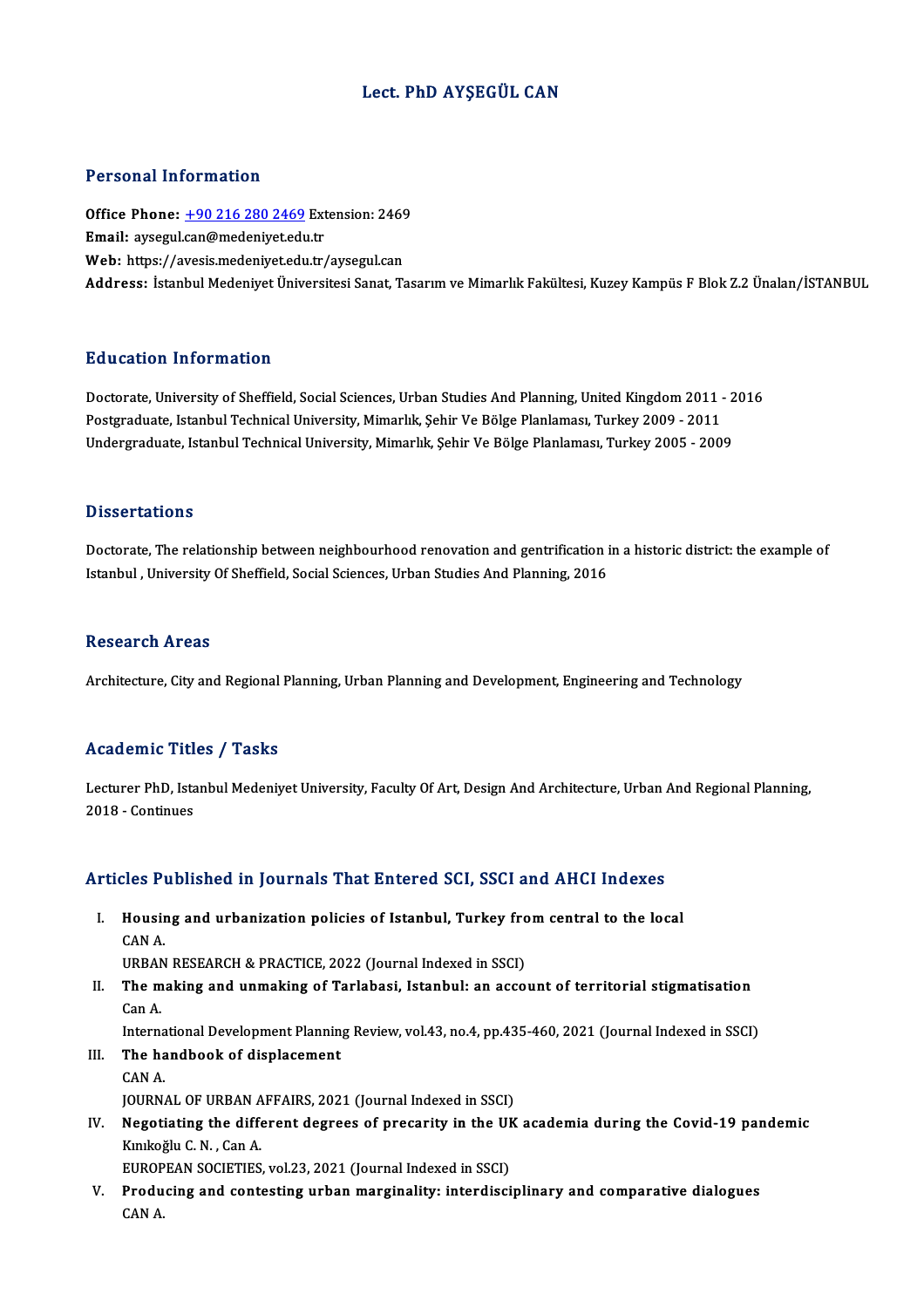#### Lect. PhD AYŞEGÜL CAN

#### Personal Information

Personal Information<br>Office Phone: <u>+90 216 280 2469</u> Extension: 2469<br>Email: avsesul san@medenivet.edu.tr Procedula Information<br>Office Phone: <u>+90 216 280 2469</u> Ext<br>Email: aysegul.[can@medeniyet.edu](tel:+90 216 280 2469).tr Office Phone: <u>+90 216 280 2469</u> Extension: 2469<br>Email: aysegul.can@medeniyet.edu.tr<br>Web: https://avesis.medeniyet.edu.tr/aysegul.can<br>Address. Istanbul Medeniyet.edu.tr/aysegul.can Email: aysegul.can@medeniyet.edu.tr<br>Web: https://avesis.medeniyet.edu.tr/aysegul.can<br>Address: İstanbul Medeniyet Üniversitesi Sanat, Tasarım ve Mimarlık Fakültesi, Kuzey Kampüs F Blok Z.2 Ünalan/İSTANBUL

#### Education Information

Education Information<br>Doctorate, University of Sheffield, Social Sciences, Urban Studies And Planning, United Kingdom 2011 - 2016<br>Postsraduate Istanbul Technical University, Mimarlyk, Sobir Vo Bölge Planlamesy Turkey 2000 Pu u currer Triver Inturer<br>Doctorate, University of Sheffield, Social Sciences, Urban Studies And Planning, United Kingdom 2011 -<br>Postgraduate, Istanbul Technical University, Mimarlık, Şehir Ve Bölge Planlaması, Turkey 200 Doctorate, University of Sheffield, Social Sciences, Urban Studies And Planning, United Kingdom 2011 - 2<br>Postgraduate, Istanbul Technical University, Mimarlık, Şehir Ve Bölge Planlaması, Turkey 2009 - 2011<br>Undergraduate, I Undergraduate, Istanbul Technical University, Mimarlık, Şehir Ve Bölge Planlaması, Turkey 2005 - 2009<br>Dissertations

Dissertations<br>Doctorate, The relationship between neighbourhood renovation and gentrification in a historic district: the example of<br>Istanbul, University Of Sheffield, Secial Sciences, Urban Studies And Planning, 2016 Bassea tacroms<br>Doctorate, The relationship between neighbourhood renovation and gentrification i<br>Istanbul , University Of Sheffield, Social Sciences, Urban Studies And Planning, 2016 Istanbul , University Of Sheffield, Social Sciences, Urban Studies And Planning, 2016<br>Research Areas

Architecture, City and Regional Planning, Urban Planning and Development, Engineering and Technology

#### Academic Titles / Tasks

Academic Titles / Tasks<br>Lecturer PhD, Istanbul Medeniyet University, Faculty Of Art, Design And Architecture, Urban And Regional Planning,<br>2018 - Continues Example<br>2018 - Continues<br>2018 - Continues

# 2018-Conunues<br>Articles Published in Journals That Entered SCI, SSCI and AHCI Indexes

rticles Published in Journals That Entered SCI, SSCI and AHCI Indexes<br>I. Housing and urbanization policies of Istanbul, Turkey from central to the local Housir<br>Housir<br>CAN A. Housing and urbanization policies of Istanbul, Turkey fro<br>CAN A.<br>URBAN RESEARCH & PRACTICE, 2022 (Journal Indexed in SSCI)<br>The making and unmaking of Tarlabasi, Istanbul, an asso

CAN A.<br>URBAN RESEARCH & PRACTICE, 2022 (Journal Indexed in SSCI)<br>II. The making and unmaking of Tarlabasi, Istanbul: an account of territorial stigmatisation<br>Can A URBAN<br>The m<br>Can A. The making and unmaking of Tarlabasi, Istanbul: an account of territorial stigmatisation<br>Can A.<br>International Development Planning Review, vol.43, no.4, pp.435-460, 2021 (Journal Indexed in SSCI)<br>The bandbook of displaceme

International Development Planning Review, vol.43, no.4, pp.435-460, 2021 (Journal Indexed in SSCI)

## Can A.<br>International Development Planning<br>III. The handbook of displacement<br>CAN A.

JOURNAL OF URBAN AFFAIRS, 2021 (Journal Indexed in SSCI)

CAN A.<br>JOURNAL OF URBAN AFFAIRS, 2021 (Journal Indexed in SSCI)<br>IV. Negotiating the different degrees of precarity in the UK academia during the Covid-19 pandemic<br>Kunicatu C.N. Can A **JOURNAL OF URBAN A<br>Negotiating the differ<br>Kınıkoğlu C. N. , Can A.<br>EUROPEAN SOCIETIES** Negotiating the different degrees of precarity in the UI<br>Kınıkoğlu C. N. , Can A.<br>EUROPEAN SOCIETIES, vol.23, 2021 (Journal Indexed in SSCI)<br>Preducing and contesting urban manginality; intendiesi K.mikoğlu C. N. , Can A.<br>EUROPEAN SOCIETIES, vol.23, 2021 (Journal Indexed in SSCI)<br>V. Producing and contesting urban marginality: interdisciplinary and comparative dialogues

CANA.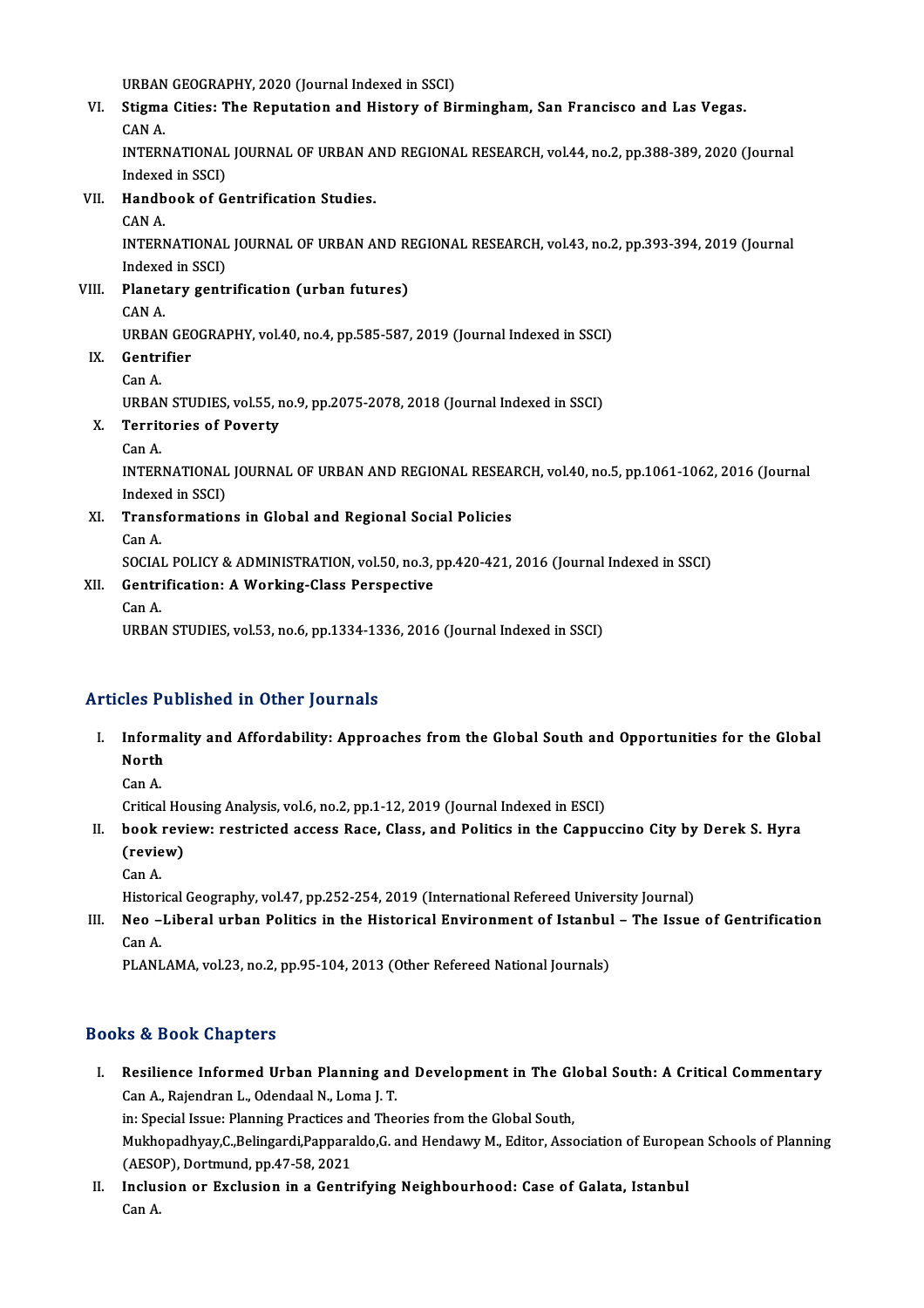URBAN GEOGRAPHY, 2020 (Journal Indexed in SSCI)<br>Stigme Gities: The Penutation and History of Pi

VI. Stigma Cities: The Reputation and History of Birmingham, San Francisco and Las Vegas. URBAN<br><mark>Stigma</mark><br>CAN A.<br>INTEDA Stigma Cities: The Reputation and History of Birmingham, San Francisco and Las Vegas.<br>CAN A.<br>INTERNATIONAL JOURNAL OF URBAN AND REGIONAL RESEARCH, vol.44, no.2, pp.388-389, 2020 (Journal<br>Indeved in SSCI)

CAN A.<br>INTERNATIONAL<br>Indexed in SSCI)<br>Handbook of C INTERNATIONAL JOURNAL OF URBAN A<br>Indexed in SSCI)<br>VII. Handbook of Gentrification Studies.

## Indexee<br>H<mark>andb</mark><br>CAN A.<br>INTERN

Handbook of Gentrification Studies.<br>CAN A.<br>INTERNATIONAL JOURNAL OF URBAN AND REGIONAL RESEARCH, vol.43, no.2, pp.393-394, 2019 (Journal<br>Indoved in SSCD CAN A.<br>INTERNATIONAL<br>Indexed in SSCI)<br>Planetary senty INTERNATIONAL JOURNAL OF URBAN AND R<br>Indexed in SSCI)<br>VIII. Planetary gentrification (urban futures)

Indexee<br>Planet<br>CAN A.<br>URRAN Planetary gentrification (urban futures)<br>CAN A.<br>URBAN GEOGRAPHY, vol.40, no.4, pp.585-587, 2019 (Journal Indexed in SSCI)<br>Contrifier CAN A.<br>URBAN GEO<br>IX. Gentrifier<br>Can A.

## URBAN<br>Gentr:<br>Can A.

Gentrifier<br>Can A.<br>URBAN STUDIES, vol.55, no.9, pp.2075-2078, 2018 (Journal Indexed in SSCI)<br>Territories of Boverty

- X. Territories of Poverty URBAN<br>Territ<br>Can A.
	-

Territories of Poverty<br>Can A.<br>INTERNATIONAL JOURNAL OF URBAN AND REGIONAL RESEARCH, vol.40, no.5, pp.1061-1062, 2016 (Journal Can A.<br>INTERNATIONAL<br>Indexed in SSCI)<br>Transformation INTERNATIONAL JOURNAL OF URBAN AND REGIONAL RESEA<br>Indexed in SSCI)<br>XI. Transformations in Global and Regional Social Policies

Indexe<br>**Trans**<br>Can A.<br>SOCIAL

Can A.<br>SOCIAL POLICY & ADMINISTRATION, vol.50, no.3, pp.420-421, 2016 (Journal Indexed in SSCI)

## Can A.<br>SOCIAL POLICY & ADMINISTRATION, vol.50, no.3,<br>XII. Gentrification: A Working-Class Perspective SOCIAL<br>Gentr:<br>Can A.

Can A.<br>URBAN STUDIES, vol.53, no.6, pp.1334-1336, 2016 (Journal Indexed in SSCI)

#### Articles Published in Other Journals

- rticles Published in Other Journals<br>I. Informality and Affordability: Approaches from the Global South and Opportunities for the Global<br>North Inform<br>North<br>Can A Inforr<br>North<br>Can A. North<br>Can A.<br>Critical Housing Analysis, vol.6, no.2, pp.1-12, 2019 (Journal Indexed in ESCI)
	-

- Can A.<br>Critical Housing Analysis, vol.6, no.2, pp.1-12, 2019 (Journal Indexed in ESCI)<br>II. book review: restricted access Race, Class, and Politics in the Cappuccino City by Derek S. Hyra<br>(review) Critical Ho<br>book revi<br>(review)<br>Can A book<br>(revie<br>Can A.<br>Histori (review)<br>Can A.<br>Historical Geography, vol.47, pp.252-254, 2019 (International Refereed University Journal)
	-

Can A.<br>Ilistorical Geography, vol.47, pp.252-254, 2019 (International Refereed University Journal)<br>III. Neo –Liberal urban Politics in the Historical Environment of Istanbul – The Issue of Gentrification<br>Can A Histori<br>**Neo –**<br>Can A.<br>PLANI

Can A.<br>PLANLAMA, vol.23, no.2, pp.95-104, 2013 (Other Refereed National Journals)

#### Books&Book Chapters

ooks & Book Chapters<br>I. Resilience Informed Urban Planning and Development in The Global South: A Critical Commentary<br>Can A. Bejandran L. Odandaal N. Lama L.T. Can A., Rajendran L., Odendaal N., Loma J. T. Resilience Informed Urban Planning and Development in The Gl<br>Can A., Rajendran L., Odendaal N., Loma J. T.<br>in: Special Issue: Planning Practices and Theories from the Global South,<br>Mukhanadhyay C. Belingardi Pannamldo C. a in: Special Issue: Planning Practices and Theories from the Global South,

Mukhopadhyay,C.,Belingardi,Papparaldo,G. and Hendawy M., Editor, Association of European Schools of Planning<br>(AESOP), Dortmund, pp.47-58, 2021 Mukhopadhyay,C.,Belingardi,Papparaldo,G. and Hendawy M., Editor, Association of Europe:<br>(AESOP), Dortmund, pp.47-58, 2021<br>II. Inclusion or Exclusion in a Gentrifying Neighbourhood: Case of Galata, Istanbul<br>Can A

(AESO<br>Inclus<br>Can A.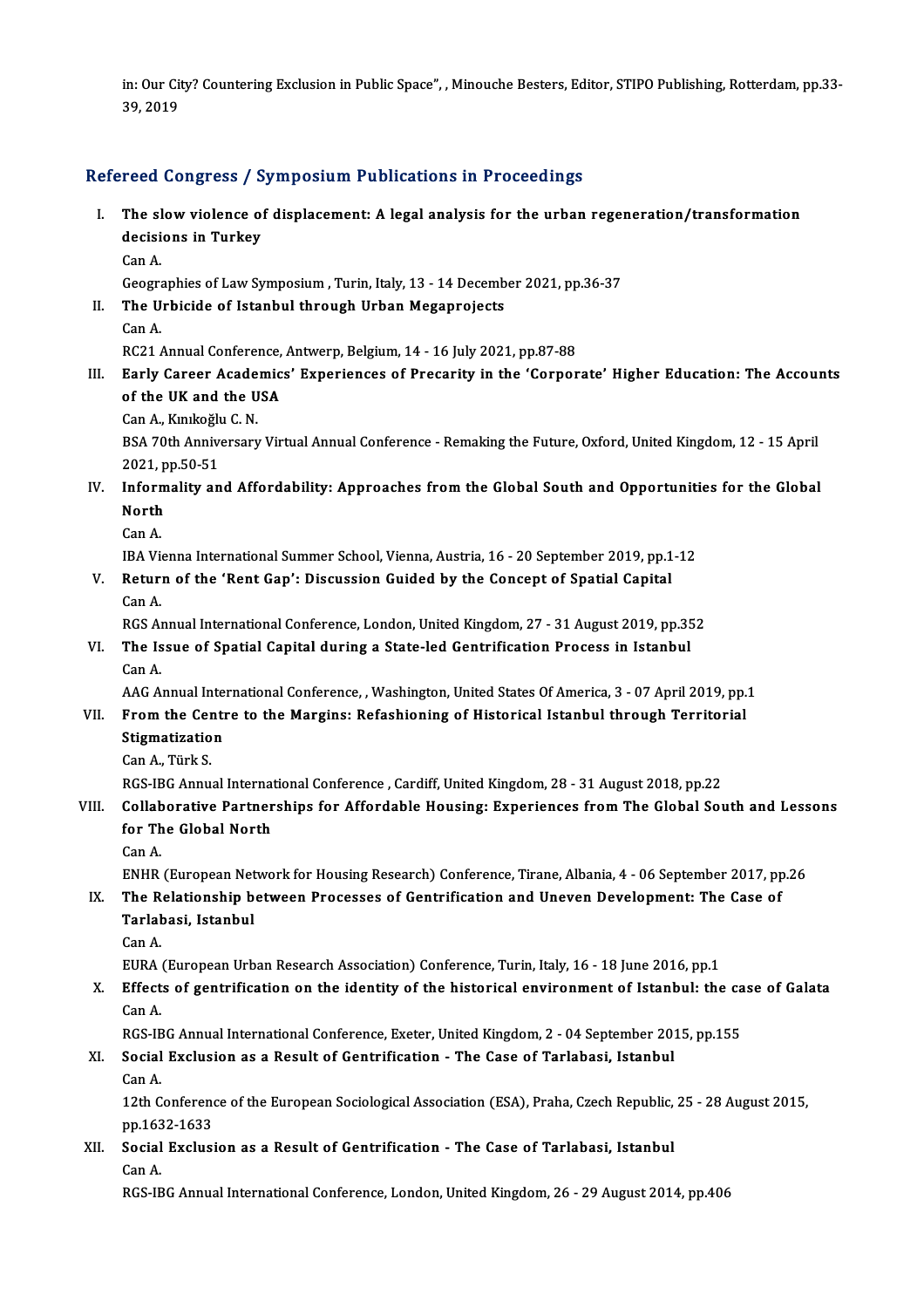in: Our City? Countering Exclusion in Public Space", , Minouche Besters, Editor, STIPO Publishing, Rotterdam, pp.33-<br>20, 2019 in: Our Cit<br>39, 2019

# 39, 2019<br>Refereed Congress / Symposium Publications in Proceedings

- efereed Congress / Symposium Publications in Proceedings<br>I. The slow violence of displacement: A legal analysis for the urban regeneration/transformation The slow violence of<br>decisions in Turkey<br>Can A The sl<br>decisi<br>Can A. decisions in Turkey<br>Can A.<br>Geographies of Law Symposium , Turin, Italy, 13 - 14 December 2021, pp.36-37
	-

- Can A.<br>Geographies of Law Symposium , Turin, Italy, 13 14 Decemb<br>II. The Urbicide of Istanbul through Urban Megaprojects<br>Can A Geogra<br>The U<br>Can A.
	-

The Urbicide of Istanbul through Urban Megaprojects<br>Can A.<br>RC21 Annual Conference, Antwerp, Belgium, 14 - 16 July 2021, pp.87-88<br>Farly Career Acedemics' Experiences of Preserity in the 'Cerper

- Can A.<br>RC21 Annual Conference, Antwerp, Belgium, 14 16 July 2021, pp.87-88<br>III. Early Career Academics' Experiences of Precarity in the 'Corporate' Higher Education: The Accounts<br>of the UK and the USA RC21 Annual Conference,<br>Early Career Academic<br>of the UK and the USA Early Career Acade<br>of the UK and the U<br>Can A., Kınıkoğlu C.N.<br>PSA 70th Anniverserv
	-

of the UK and the USA<br>Can A., Kınıkoğlu C. N.<br>BSA 70th Anniversary Virtual Annual Conference - Remaking the Future, Oxford, United Kingdom, 12 - 15 April<br>2021. pp.50.51 Can A., Kınıkoğlu<br>BSA 70th Annive<br>2021, pp.50-51<br>Informality an BSA 70th Anniversary Virtual Annual Conference - Remaking the Future, Oxford, United Kingdom, 12 - 15 April 2021, pp.50-51<br>IV. Informality and Affordability: Approaches from the Global South and Opportunities for the Globa

- 2021, p<br>Inform<br>North **Inform<br>North<br>Can A.<br>IPA Vi** North<br>Can A.<br>IBA Vienna International Summer School, Vienna, Austria, 16 - 20 September 2019, pp.1-12
	-

Can A.<br>IBA Vienna International Summer School, Vienna, Austria, 16 - 20 September 2019, pp.1<br>V. Return of the 'Rent Gap': Discussion Guided by the Concept of Spatial Capital<br>Can A **IBA Vie**<br>**Retur**<br>Can A.<br>PCS A. Can A.<br>RGS Annual International Conference, London, United Kingdom, 27 - 31 August 2019, pp.352

#### Can A.<br>RGS Annual International Conference, London, United Kingdom, 27 - 31 August 2019, pp.35<br>VI. The Issue of Spatial Capital during a State-led Gentrification Process in Istanbul<br>Can A RGS A<sub>1</sub><br>The Is<br>Can A. The Issue of Spatial Capital during a State-led Gentrification Process in Istanbul<br>Can A.<br>AAG Annual International Conference, , Washington, United States Of America, 3 - 07 April 2019, pp.1<br>From the Contre to the Margine: Can A.<br>AAG Annual International Conference, , Washington, United States Of America, 3 - 07 April 2019, pp.1<br>VII. From the Centre to the Margins: Refashioning of Historical Istanbul through Territorial

## AAG Annual Inter<br>From the Centre<br>Stigmatization From the Cen<br>Stigmatizatio<br>Can A., Türk S.<br>PCS IPC Annu

Can A., Türk S.<br>RGS-IBG Annual International Conference , Cardiff, United Kingdom, 28 - 31 August 2018, pp.22

### Can A., Türk S.<br>RGS-IBG Annual International Conference , Cardiff, United Kingdom, 28 - 31 August 2018, pp.22<br>VIII. Collaborative Partnerships for Affordable Housing: Experiences from The Global South and Lessons<br>for T RGS-IBG Annual Internat<br>Collaborative Partner<br>for The Global North<br>Can A Colla<mark>b</mark><br>for Th<br>Can A.<br>ENUD for The Global North<br>Can A.<br>ENHR (European Network for Housing Research) Conference, Tirane, Albania, 4 - 06 September 2017, pp.26<br>The Belationship between Brosesses of Contrification and Uneven Development: The Case of

### Can A.<br>ENHR (European Network for Housing Research) Conference, Tirane, Albania, 4 - 06 September 2017, pp<br>IX. The Relationship between Processes of Gentrification and Uneven Development: The Case of<br>Tarlabasi Istanbul ENHR (European Net<br>The Relationship b<br>Tarlabasi, Istanbul<br>Can A IX. The Relationship between Processes of Gentrification and Uneven Development: The Case of Tarlabasi, Istanbul<br>Can A.

EURA (European Urban Research Association) Conference, Turin, Italy, 16 - 18 June 2016, pp.1

Can A.<br>EURA (European Urban Research Association) Conference, Turin, Italy, 16 - 18 June 2016, pp.1<br>X. Effects of gentrification on the identity of the historical environment of Istanbul: the case of Galata<br>Can A EURA<br>**Effect**<br>Can A.<br>PCS IP Effects of gentrification on the identity of the historical environment of Istanbul: the ca<br>Can A.<br>RGS-IBG Annual International Conference, Exeter, United Kingdom, 2 - 04 September 2015, pp.155<br>Secial Exclusion as a Besult

## Can A.<br>RGS-IBG Annual International Conference, Exeter, United Kingdom, 2 - 04 September 20:<br>XI. Social Exclusion as a Result of Gentrification - The Case of Tarlabasi, Istanbul<br>Can A RGS-IE<br>Social<br>Can A.

Social Exclusion as a Result of Gentrification - The Case of Tarlabasi, Istanbul<br>Can A.<br>12th Conference of the European Sociological Association (ESA), Praha, Czech Republic, 25 - 28 August 2015,<br>nn 1633 1633 Can A.<br>12th Conference<br>pp.1632-1633<br>Sosial Exclusi 12th Conference of the European Sociological Association (ESA), Praha, Czech Republic,<br>pp.1632-1633<br>XII. Social Exclusion as a Result of Gentrification - The Case of Tarlabasi, Istanbul<br>Can A

### pp.163<br>Social<br>Can A.<br>PCS IP Can A.<br>RGS-IBG Annual International Conference, London, United Kingdom, 26 - 29 August 2014, pp.406